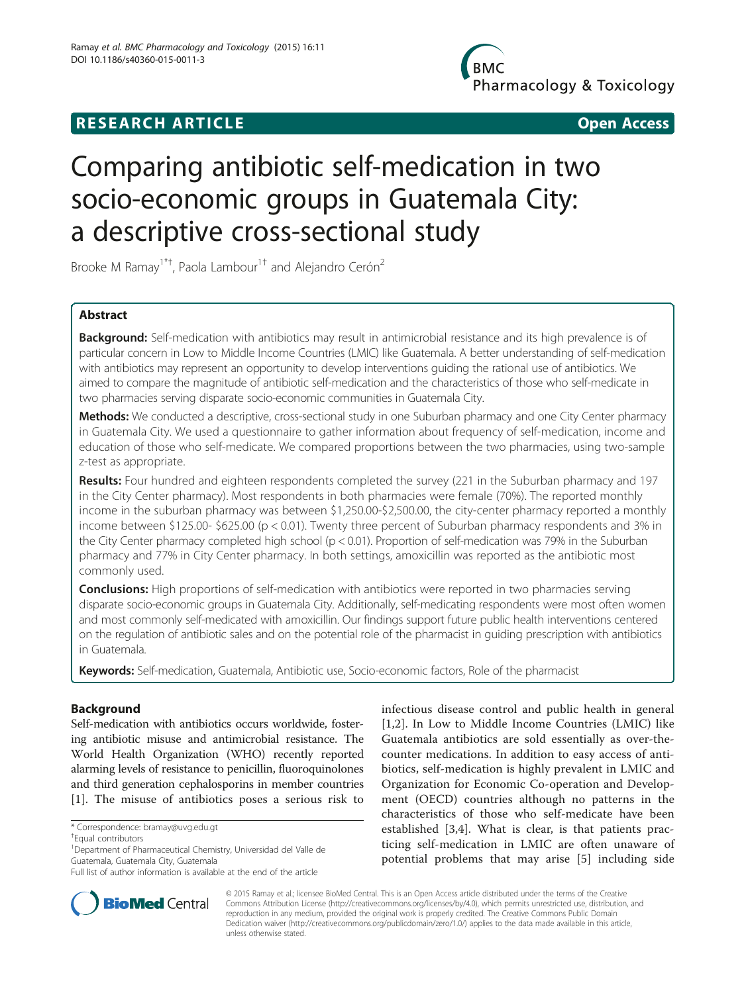# **RESEARCH ARTICLE Example 2014 12:30 The SEAR CHA RTICLE**

Pharmacology & Toxicology

# Comparing antibiotic self-medication in two socio-economic groups in Guatemala City: a descriptive cross-sectional study

Brooke M Ramay<sup>1\*†</sup>, Paola Lambour<sup>1†</sup> and Alejandro Cerón<sup>2</sup>

# Abstract

Background: Self-medication with antibiotics may result in antimicrobial resistance and its high prevalence is of particular concern in Low to Middle Income Countries (LMIC) like Guatemala. A better understanding of self-medication with antibiotics may represent an opportunity to develop interventions guiding the rational use of antibiotics. We aimed to compare the magnitude of antibiotic self-medication and the characteristics of those who self-medicate in two pharmacies serving disparate socio-economic communities in Guatemala City.

Methods: We conducted a descriptive, cross-sectional study in one Suburban pharmacy and one City Center pharmacy in Guatemala City. We used a questionnaire to gather information about frequency of self-medication, income and education of those who self-medicate. We compared proportions between the two pharmacies, using two-sample z-test as appropriate.

Results: Four hundred and eighteen respondents completed the survey (221 in the Suburban pharmacy and 197 in the City Center pharmacy). Most respondents in both pharmacies were female (70%). The reported monthly income in the suburban pharmacy was between \$1,250.00-\$2,500.00, the city-center pharmacy reported a monthly income between \$125.00- \$625.00 (p < 0.01). Twenty three percent of Suburban pharmacy respondents and 3% in the City Center pharmacy completed high school (p < 0.01). Proportion of self-medication was 79% in the Suburban pharmacy and 77% in City Center pharmacy. In both settings, amoxicillin was reported as the antibiotic most commonly used.

**Conclusions:** High proportions of self-medication with antibiotics were reported in two pharmacies serving disparate socio-economic groups in Guatemala City. Additionally, self-medicating respondents were most often women and most commonly self-medicated with amoxicillin. Our findings support future public health interventions centered on the regulation of antibiotic sales and on the potential role of the pharmacist in guiding prescription with antibiotics in Guatemala.

Keywords: Self-medication, Guatemala, Antibiotic use, Socio-economic factors, Role of the pharmacist

# Background

Self-medication with antibiotics occurs worldwide, fostering antibiotic misuse and antimicrobial resistance. The World Health Organization (WHO) recently reported alarming levels of resistance to penicillin, fluoroquinolones and third generation cephalosporins in member countries [[1\]](#page-6-0). The misuse of antibiotics poses a serious risk to

infectious disease control and public health in general [[1,2](#page-6-0)]. In Low to Middle Income Countries (LMIC) like Guatemala antibiotics are sold essentially as over-thecounter medications. In addition to easy access of antibiotics, self-medication is highly prevalent in LMIC and Organization for Economic Co-operation and Development (OECD) countries although no patterns in the characteristics of those who self-medicate have been established [[3,4\]](#page-6-0). What is clear, is that patients practicing self-medication in LMIC are often unaware of potential problems that may arise [[5](#page-6-0)] including side



© 2015 Ramay et al.; licensee BioMed Central. This is an Open Access article distributed under the terms of the Creative Commons Attribution License [\(http://creativecommons.org/licenses/by/4.0\)](http://creativecommons.org/licenses/by/4.0), which permits unrestricted use, distribution, and reproduction in any medium, provided the original work is properly credited. The Creative Commons Public Domain Dedication waiver [\(http://creativecommons.org/publicdomain/zero/1.0/](http://creativecommons.org/publicdomain/zero/1.0/)) applies to the data made available in this article, unless otherwise stated.

<sup>\*</sup> Correspondence: [bramay@uvg.edu.gt](mailto:bramay@uvg.edu.gt) †

Equal contributors

<sup>1</sup> Department of Pharmaceutical Chemistry, Universidad del Valle de Guatemala, Guatemala City, Guatemala

Full list of author information is available at the end of the article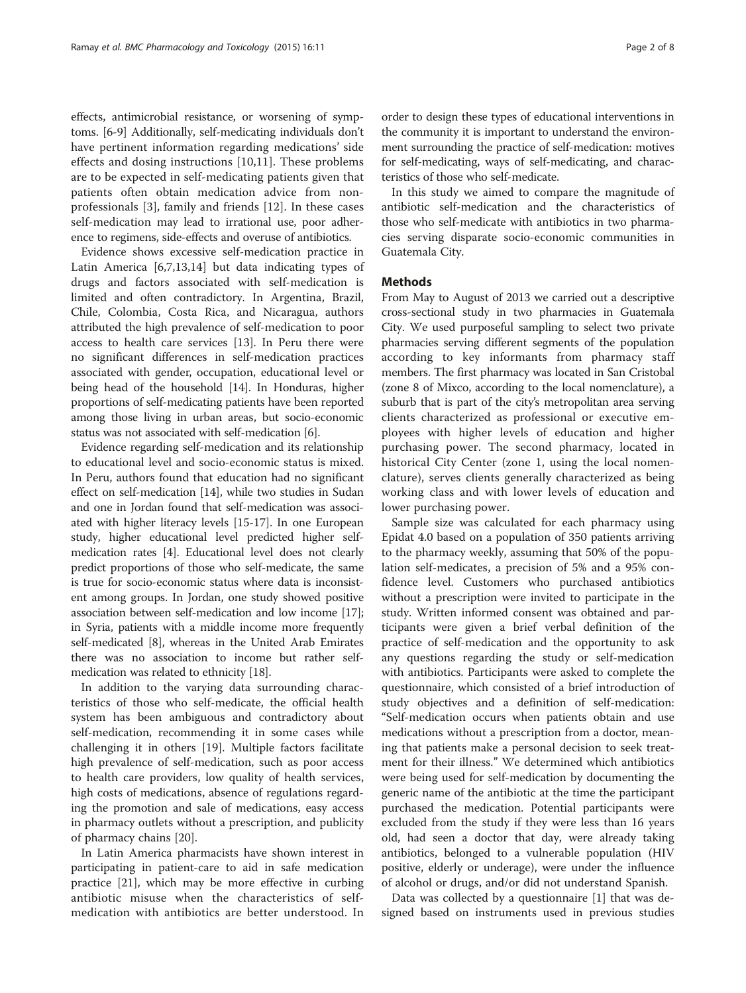effects, antimicrobial resistance, or worsening of symptoms. [\[6-9](#page-6-0)] Additionally, self-medicating individuals don't have pertinent information regarding medications' side effects and dosing instructions [\[10](#page-6-0),[11\]](#page-6-0). These problems are to be expected in self-medicating patients given that patients often obtain medication advice from nonprofessionals [\[3](#page-6-0)], family and friends [\[12](#page-6-0)]. In these cases self-medication may lead to irrational use, poor adherence to regimens, side-effects and overuse of antibiotics.

Evidence shows excessive self-medication practice in Latin America [[6,7,13,](#page-6-0)[14\]](#page-7-0) but data indicating types of drugs and factors associated with self-medication is limited and often contradictory. In Argentina, Brazil, Chile, Colombia, Costa Rica, and Nicaragua, authors attributed the high prevalence of self-medication to poor access to health care services [[13](#page-6-0)]. In Peru there were no significant differences in self-medication practices associated with gender, occupation, educational level or being head of the household [[14](#page-7-0)]. In Honduras, higher proportions of self-medicating patients have been reported among those living in urban areas, but socio-economic status was not associated with self-medication [[6\]](#page-6-0).

Evidence regarding self-medication and its relationship to educational level and socio-economic status is mixed. In Peru, authors found that education had no significant effect on self-medication [[14](#page-7-0)], while two studies in Sudan and one in Jordan found that self-medication was associated with higher literacy levels [\[15](#page-7-0)-[17](#page-7-0)]. In one European study, higher educational level predicted higher selfmedication rates [\[4](#page-6-0)]. Educational level does not clearly predict proportions of those who self-medicate, the same is true for socio-economic status where data is inconsistent among groups. In Jordan, one study showed positive association between self-medication and low income [[17](#page-7-0)]; in Syria, patients with a middle income more frequently self-medicated [[8](#page-6-0)], whereas in the United Arab Emirates there was no association to income but rather selfmedication was related to ethnicity [[18\]](#page-7-0).

In addition to the varying data surrounding characteristics of those who self-medicate, the official health system has been ambiguous and contradictory about self-medication, recommending it in some cases while challenging it in others [\[19](#page-7-0)]. Multiple factors facilitate high prevalence of self-medication, such as poor access to health care providers, low quality of health services, high costs of medications, absence of regulations regarding the promotion and sale of medications, easy access in pharmacy outlets without a prescription, and publicity of pharmacy chains [[20](#page-7-0)].

In Latin America pharmacists have shown interest in participating in patient-care to aid in safe medication practice [[21\]](#page-7-0), which may be more effective in curbing antibiotic misuse when the characteristics of selfmedication with antibiotics are better understood. In order to design these types of educational interventions in the community it is important to understand the environment surrounding the practice of self-medication: motives for self-medicating, ways of self-medicating, and characteristics of those who self-medicate.

In this study we aimed to compare the magnitude of antibiotic self-medication and the characteristics of those who self-medicate with antibiotics in two pharmacies serving disparate socio-economic communities in Guatemala City.

# **Methods**

From May to August of 2013 we carried out a descriptive cross-sectional study in two pharmacies in Guatemala City. We used purposeful sampling to select two private pharmacies serving different segments of the population according to key informants from pharmacy staff members. The first pharmacy was located in San Cristobal (zone 8 of Mixco, according to the local nomenclature), a suburb that is part of the city's metropolitan area serving clients characterized as professional or executive employees with higher levels of education and higher purchasing power. The second pharmacy, located in historical City Center (zone 1, using the local nomenclature), serves clients generally characterized as being working class and with lower levels of education and lower purchasing power.

Sample size was calculated for each pharmacy using Epidat 4.0 based on a population of 350 patients arriving to the pharmacy weekly, assuming that 50% of the population self-medicates, a precision of 5% and a 95% confidence level. Customers who purchased antibiotics without a prescription were invited to participate in the study. Written informed consent was obtained and participants were given a brief verbal definition of the practice of self-medication and the opportunity to ask any questions regarding the study or self-medication with antibiotics. Participants were asked to complete the questionnaire, which consisted of a brief introduction of study objectives and a definition of self-medication: "Self-medication occurs when patients obtain and use medications without a prescription from a doctor, meaning that patients make a personal decision to seek treatment for their illness." We determined which antibiotics were being used for self-medication by documenting the generic name of the antibiotic at the time the participant purchased the medication. Potential participants were excluded from the study if they were less than 16 years old, had seen a doctor that day, were already taking antibiotics, belonged to a vulnerable population (HIV positive, elderly or underage), were under the influence of alcohol or drugs, and/or did not understand Spanish.

Data was collected by a questionnaire [[1\]](#page-6-0) that was designed based on instruments used in previous studies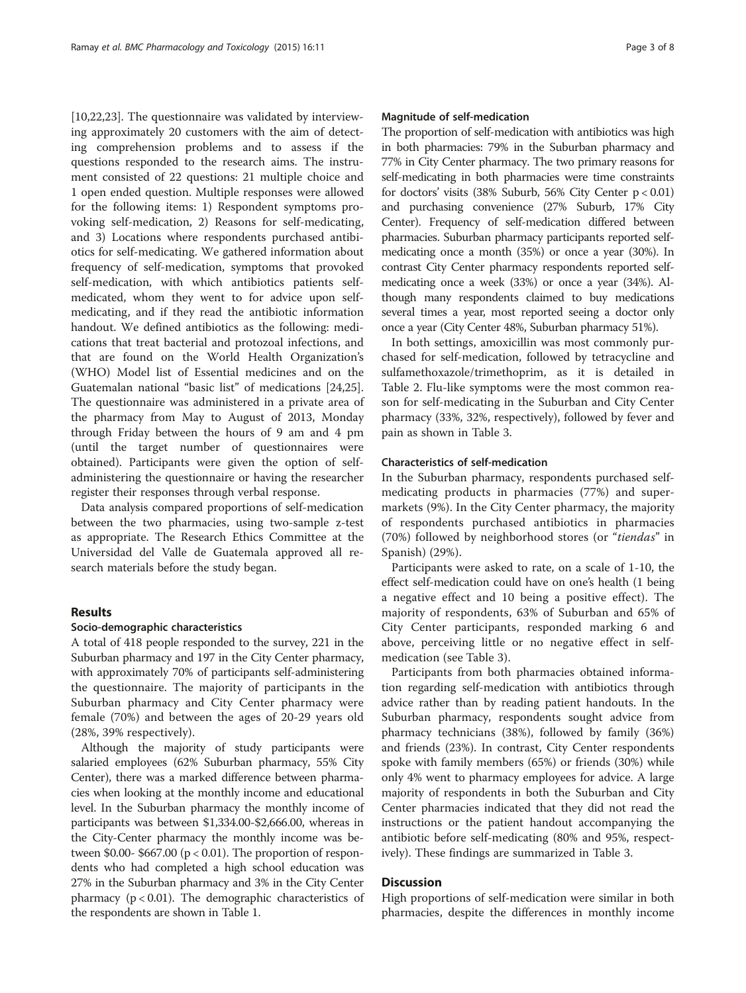[[10,](#page-6-0)[22,23\]](#page-7-0). The questionnaire was validated by interviewing approximately 20 customers with the aim of detecting comprehension problems and to assess if the questions responded to the research aims. The instrument consisted of 22 questions: 21 multiple choice and 1 open ended question. Multiple responses were allowed for the following items: 1) Respondent symptoms provoking self-medication, 2) Reasons for self-medicating, and 3) Locations where respondents purchased antibiotics for self-medicating. We gathered information about frequency of self-medication, symptoms that provoked self-medication, with which antibiotics patients selfmedicated, whom they went to for advice upon selfmedicating, and if they read the antibiotic information handout. We defined antibiotics as the following: medications that treat bacterial and protozoal infections, and that are found on the World Health Organization's (WHO) Model list of Essential medicines and on the Guatemalan national "basic list" of medications [\[24,25](#page-7-0)]. The questionnaire was administered in a private area of the pharmacy from May to August of 2013, Monday through Friday between the hours of 9 am and 4 pm (until the target number of questionnaires were obtained). Participants were given the option of selfadministering the questionnaire or having the researcher register their responses through verbal response.

Data analysis compared proportions of self-medication between the two pharmacies, using two-sample z-test as appropriate. The Research Ethics Committee at the Universidad del Valle de Guatemala approved all research materials before the study began.

# Results

### Socio-demographic characteristics

A total of 418 people responded to the survey, 221 in the Suburban pharmacy and 197 in the City Center pharmacy, with approximately 70% of participants self-administering the questionnaire. The majority of participants in the Suburban pharmacy and City Center pharmacy were female (70%) and between the ages of 20-29 years old (28%, 39% respectively).

Although the majority of study participants were salaried employees (62% Suburban pharmacy, 55% City Center), there was a marked difference between pharmacies when looking at the monthly income and educational level. In the Suburban pharmacy the monthly income of participants was between \$1,334.00-\$2,666.00, whereas in the City-Center pharmacy the monthly income was between \$0.00- \$667.00 ( $p < 0.01$ ). The proportion of respondents who had completed a high school education was 27% in the Suburban pharmacy and 3% in the City Center pharmacy ( $p < 0.01$ ). The demographic characteristics of the respondents are shown in Table [1](#page-3-0).

#### Magnitude of self-medication

The proportion of self-medication with antibiotics was high in both pharmacies: 79% in the Suburban pharmacy and 77% in City Center pharmacy. The two primary reasons for self-medicating in both pharmacies were time constraints for doctors' visits  $(38\%$  Suburb, 56% City Center  $p < 0.01$ ) and purchasing convenience (27% Suburb, 17% City Center). Frequency of self-medication differed between pharmacies. Suburban pharmacy participants reported selfmedicating once a month (35%) or once a year (30%). In contrast City Center pharmacy respondents reported selfmedicating once a week (33%) or once a year (34%). Although many respondents claimed to buy medications several times a year, most reported seeing a doctor only once a year (City Center 48%, Suburban pharmacy 51%).

In both settings, amoxicillin was most commonly purchased for self-medication, followed by tetracycline and sulfamethoxazole/trimethoprim, as it is detailed in Table [2](#page-4-0). Flu-like symptoms were the most common reason for self-medicating in the Suburban and City Center pharmacy (33%, 32%, respectively), followed by fever and pain as shown in Table [3.](#page-5-0)

#### Characteristics of self-medication

In the Suburban pharmacy, respondents purchased selfmedicating products in pharmacies (77%) and supermarkets (9%). In the City Center pharmacy, the majority of respondents purchased antibiotics in pharmacies (70%) followed by neighborhood stores (or "tiendas" in Spanish) (29%).

Participants were asked to rate, on a scale of 1-10, the effect self-medication could have on one's health (1 being a negative effect and 10 being a positive effect). The majority of respondents, 63% of Suburban and 65% of City Center participants, responded marking 6 and above, perceiving little or no negative effect in selfmedication (see Table [3](#page-5-0)).

Participants from both pharmacies obtained information regarding self-medication with antibiotics through advice rather than by reading patient handouts. In the Suburban pharmacy, respondents sought advice from pharmacy technicians (38%), followed by family (36%) and friends (23%). In contrast, City Center respondents spoke with family members (65%) or friends (30%) while only 4% went to pharmacy employees for advice. A large majority of respondents in both the Suburban and City Center pharmacies indicated that they did not read the instructions or the patient handout accompanying the antibiotic before self-medicating (80% and 95%, respectively). These findings are summarized in Table [3](#page-5-0).

#### Discussion

High proportions of self-medication were similar in both pharmacies, despite the differences in monthly income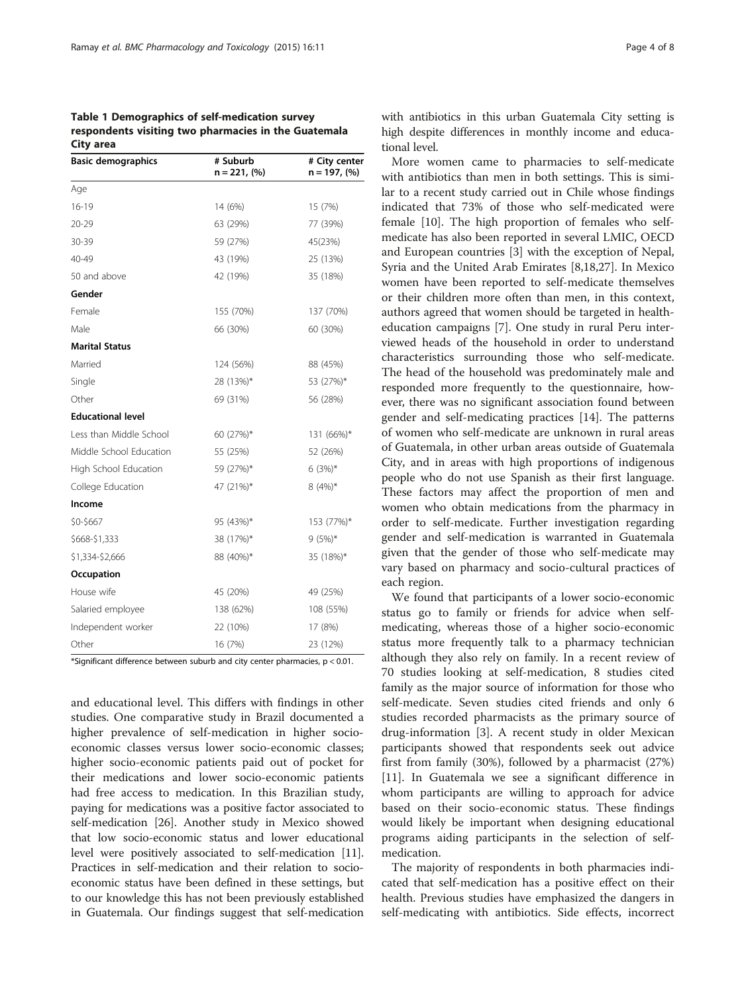#### <span id="page-3-0"></span>Table 1 Demographics of self-medication survey respondents visiting two pharmacies in the Guatemala City area

| <b>Basic demographics</b> | # Suburb<br>$n = 221, (%)$ | # City center<br>$n = 197,$ (%) |
|---------------------------|----------------------------|---------------------------------|
| Age                       |                            |                                 |
| $16 - 19$                 | 14 (6%)                    | 15 (7%)                         |
| $20 - 29$                 | 63 (29%)                   | 77 (39%)                        |
| 30-39                     | 59 (27%)                   | 45(23%)                         |
| 40-49                     | 43 (19%)                   | 25 (13%)                        |
| 50 and above              | 42 (19%)                   | 35 (18%)                        |
| Gender                    |                            |                                 |
| Female                    | 155 (70%)                  | 137 (70%)                       |
| Male                      | 66 (30%)                   | 60 (30%)                        |
| <b>Marital Status</b>     |                            |                                 |
| Married                   | 124 (56%)                  | 88 (45%)                        |
| Single                    | 28 (13%)*                  | 53 (27%)*                       |
| Other                     | 69 (31%)                   | 56 (28%)                        |
| <b>Educational level</b>  |                            |                                 |
| Less than Middle School   | 60 (27%)*                  | 131 (66%)*                      |
| Middle School Education   | 55 (25%)                   | 52 (26%)                        |
| High School Education     | 59 (27%)*                  | $6(3%)$ *                       |
| College Education         | 47 (21%)*                  | $8(4%)$ *                       |
| Income                    |                            |                                 |
| \$0-\$667                 | 95 (43%)*                  | 153 (77%)*                      |
| \$668-\$1,333             | 38 (17%)*                  | $9(5%)*$                        |
| \$1,334-\$2,666           | 88 (40%)*                  | 35 (18%)*                       |
| Occupation                |                            |                                 |
| House wife                | 45 (20%)                   | 49 (25%)                        |
| Salaried employee         | 138 (62%)                  | 108 (55%)                       |
| Independent worker        | 22 (10%)                   | 17 (8%)                         |
| Other                     | 16 (7%)                    | 23 (12%)                        |

\*Significant difference between suburb and city center pharmacies, p < 0.01.

and educational level. This differs with findings in other studies. One comparative study in Brazil documented a higher prevalence of self-medication in higher socioeconomic classes versus lower socio-economic classes; higher socio-economic patients paid out of pocket for their medications and lower socio-economic patients had free access to medication. In this Brazilian study, paying for medications was a positive factor associated to self-medication [\[26\]](#page-7-0). Another study in Mexico showed that low socio-economic status and lower educational level were positively associated to self-medication [[11](#page-6-0)]. Practices in self-medication and their relation to socioeconomic status have been defined in these settings, but to our knowledge this has not been previously established in Guatemala. Our findings suggest that self-medication

with antibiotics in this urban Guatemala City setting is high despite differences in monthly income and educational level.

More women came to pharmacies to self-medicate with antibiotics than men in both settings. This is similar to a recent study carried out in Chile whose findings indicated that 73% of those who self-medicated were female [\[10](#page-6-0)]. The high proportion of females who selfmedicate has also been reported in several LMIC, OECD and European countries [[3\]](#page-6-0) with the exception of Nepal, Syria and the United Arab Emirates [[8,](#page-6-0)[18,27\]](#page-7-0). In Mexico women have been reported to self-medicate themselves or their children more often than men, in this context, authors agreed that women should be targeted in healtheducation campaigns [\[7](#page-6-0)]. One study in rural Peru interviewed heads of the household in order to understand characteristics surrounding those who self-medicate. The head of the household was predominately male and responded more frequently to the questionnaire, however, there was no significant association found between gender and self-medicating practices [[14](#page-7-0)]. The patterns of women who self-medicate are unknown in rural areas of Guatemala, in other urban areas outside of Guatemala City, and in areas with high proportions of indigenous people who do not use Spanish as their first language. These factors may affect the proportion of men and women who obtain medications from the pharmacy in order to self-medicate. Further investigation regarding gender and self-medication is warranted in Guatemala given that the gender of those who self-medicate may vary based on pharmacy and socio-cultural practices of each region.

We found that participants of a lower socio-economic status go to family or friends for advice when selfmedicating, whereas those of a higher socio-economic status more frequently talk to a pharmacy technician although they also rely on family. In a recent review of 70 studies looking at self-medication, 8 studies cited family as the major source of information for those who self-medicate. Seven studies cited friends and only 6 studies recorded pharmacists as the primary source of drug-information [\[3](#page-6-0)]. A recent study in older Mexican participants showed that respondents seek out advice first from family (30%), followed by a pharmacist (27%) [[11\]](#page-6-0). In Guatemala we see a significant difference in whom participants are willing to approach for advice based on their socio-economic status. These findings would likely be important when designing educational programs aiding participants in the selection of selfmedication.

The majority of respondents in both pharmacies indicated that self-medication has a positive effect on their health. Previous studies have emphasized the dangers in self-medicating with antibiotics. Side effects, incorrect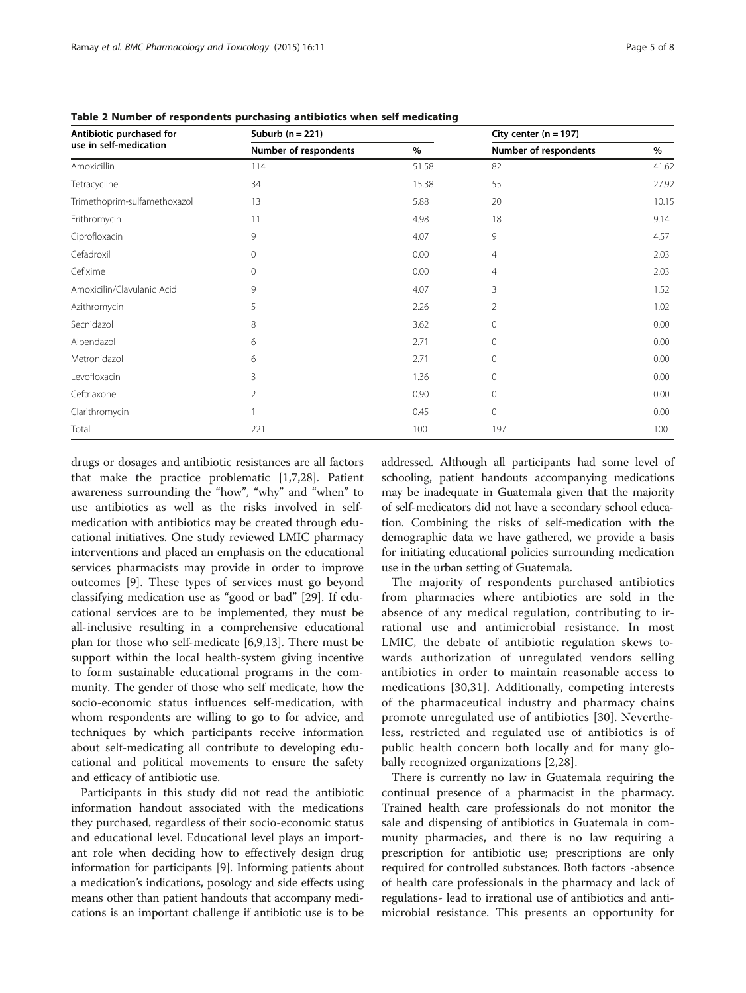| Antibiotic purchased for     | Suburb ( $n = 221$ )  |       | City center ( $n = 197$ ) |       |
|------------------------------|-----------------------|-------|---------------------------|-------|
| use in self-medication       | Number of respondents | $\%$  | Number of respondents     | $\%$  |
| Amoxicillin                  | 114                   | 51.58 | 82                        | 41.62 |
| Tetracycline                 | 34                    | 15.38 | 55                        | 27.92 |
| Trimethoprim-sulfamethoxazol | 13                    | 5.88  | 20                        | 10.15 |
| Erithromycin                 | 11                    | 4.98  | 18                        | 9.14  |
| Ciprofloxacin                | 9                     | 4.07  | 9                         | 4.57  |
| Cefadroxil                   | $\mathbf{0}$          | 0.00  | $\overline{4}$            | 2.03  |
| Cefixime                     | $\mathbf{0}$          | 0.00  | $\overline{4}$            | 2.03  |
| Amoxicilin/Clavulanic Acid   | 9                     | 4.07  | 3                         | 1.52  |
| Azithromycin                 | 5                     | 2.26  | $\overline{2}$            | 1.02  |
| Secnidazol                   | 8                     | 3.62  | $\mathbf 0$               | 0.00  |
| Albendazol                   | 6                     | 2.71  | $\mathbf 0$               | 0.00  |
| Metronidazol                 | 6                     | 2.71  | $\mathbf 0$               | 0.00  |
| Levofloxacin                 | 3                     | 1.36  | $\mathbf 0$               | 0.00  |
| Ceftriaxone                  | 2                     | 0.90  | $\mathbf 0$               | 0.00  |
| Clarithromycin               |                       | 0.45  | $\mathbf 0$               | 0.00  |
| Total                        | 221                   | 100   | 197                       | 100   |

<span id="page-4-0"></span>Table 2 Number of respondents purchasing antibiotics when self medicating

drugs or dosages and antibiotic resistances are all factors that make the practice problematic [[1,7,](#page-6-0)[28\]](#page-7-0). Patient awareness surrounding the "how", "why" and "when" to use antibiotics as well as the risks involved in selfmedication with antibiotics may be created through educational initiatives. One study reviewed LMIC pharmacy interventions and placed an emphasis on the educational services pharmacists may provide in order to improve outcomes [[9\]](#page-6-0). These types of services must go beyond classifying medication use as "good or bad" [[29\]](#page-7-0). If educational services are to be implemented, they must be all-inclusive resulting in a comprehensive educational plan for those who self-medicate [[6,9,13\]](#page-6-0). There must be support within the local health-system giving incentive to form sustainable educational programs in the community. The gender of those who self medicate, how the socio-economic status influences self-medication, with whom respondents are willing to go to for advice, and techniques by which participants receive information about self-medicating all contribute to developing educational and political movements to ensure the safety and efficacy of antibiotic use.

Participants in this study did not read the antibiotic information handout associated with the medications they purchased, regardless of their socio-economic status and educational level. Educational level plays an important role when deciding how to effectively design drug information for participants [[9\]](#page-6-0). Informing patients about a medication's indications, posology and side effects using means other than patient handouts that accompany medications is an important challenge if antibiotic use is to be addressed. Although all participants had some level of schooling, patient handouts accompanying medications may be inadequate in Guatemala given that the majority of self-medicators did not have a secondary school education. Combining the risks of self-medication with the demographic data we have gathered, we provide a basis for initiating educational policies surrounding medication use in the urban setting of Guatemala.

The majority of respondents purchased antibiotics from pharmacies where antibiotics are sold in the absence of any medical regulation, contributing to irrational use and antimicrobial resistance. In most LMIC, the debate of antibiotic regulation skews towards authorization of unregulated vendors selling antibiotics in order to maintain reasonable access to medications [[30](#page-7-0),[31\]](#page-7-0). Additionally, competing interests of the pharmaceutical industry and pharmacy chains promote unregulated use of antibiotics [\[30](#page-7-0)]. Nevertheless, restricted and regulated use of antibiotics is of public health concern both locally and for many globally recognized organizations [\[2](#page-6-0),[28\]](#page-7-0).

There is currently no law in Guatemala requiring the continual presence of a pharmacist in the pharmacy. Trained health care professionals do not monitor the sale and dispensing of antibiotics in Guatemala in community pharmacies, and there is no law requiring a prescription for antibiotic use; prescriptions are only required for controlled substances. Both factors -absence of health care professionals in the pharmacy and lack of regulations- lead to irrational use of antibiotics and antimicrobial resistance. This presents an opportunity for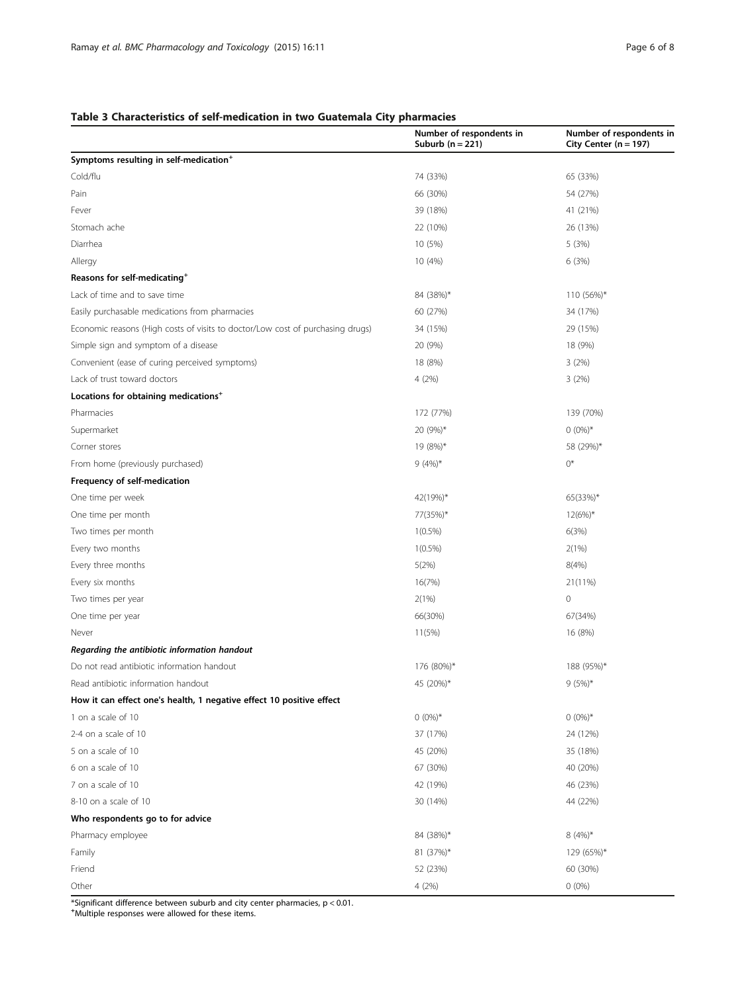# <span id="page-5-0"></span>Table 3 Characteristics of self-medication in two Guatemala City pharmacies

|                                                                                | Number of respondents in<br>Suburb $(n = 221)$ | Number of respondents in<br>City Center ( $n = 197$ ) |  |
|--------------------------------------------------------------------------------|------------------------------------------------|-------------------------------------------------------|--|
| Symptoms resulting in self-medication <sup>+</sup>                             |                                                |                                                       |  |
| Cold/flu                                                                       | 74 (33%)                                       | 65 (33%)                                              |  |
| Pain                                                                           | 66 (30%)                                       | 54 (27%)                                              |  |
| Fever                                                                          | 39 (18%)                                       | 41 (21%)                                              |  |
| Stomach ache                                                                   | 22 (10%)                                       | 26 (13%)                                              |  |
| Diarrhea                                                                       | 10 (5%)                                        | 5(3%)                                                 |  |
| Allergy                                                                        | 10 (4%)                                        | 6(3%)                                                 |  |
| Reasons for self-medicating <sup>+</sup>                                       |                                                |                                                       |  |
| Lack of time and to save time                                                  | 84 (38%)*                                      | 110 (56%)*                                            |  |
| Easily purchasable medications from pharmacies                                 | 60 (27%)                                       | 34 (17%)                                              |  |
| Economic reasons (High costs of visits to doctor/Low cost of purchasing drugs) | 34 (15%)                                       | 29 (15%)                                              |  |
| Simple sign and symptom of a disease                                           | 20 (9%)                                        | 18 (9%)                                               |  |
| Convenient (ease of curing perceived symptoms)                                 | 18 (8%)                                        | 3(2%)                                                 |  |
| Lack of trust toward doctors                                                   | 4(2%)                                          | 3(2%)                                                 |  |
| Locations for obtaining medications <sup>+</sup>                               |                                                |                                                       |  |
| Pharmacies                                                                     | 172 (77%)                                      | 139 (70%)                                             |  |
| Supermarket                                                                    | 20 (9%)*                                       | $0(0\%)*$                                             |  |
| Corner stores                                                                  | 19 (8%)*                                       | 58 (29%)*                                             |  |
| From home (previously purchased)                                               | $9(4%)$ *                                      | $0*$                                                  |  |
| Frequency of self-medication                                                   |                                                |                                                       |  |
| One time per week                                                              | 42(19%)*                                       | $65(33%)$ *                                           |  |
| One time per month                                                             | 77(35%)*                                       | $12(6%)*$                                             |  |
| Two times per month                                                            | $1(0.5\%)$                                     | 6(3%)                                                 |  |
| Every two months                                                               | $1(0.5\%)$                                     | 2(1%)                                                 |  |
| Every three months                                                             | 5(2%)                                          | 8(4%)                                                 |  |
| Every six months                                                               | 16(7%)                                         | 21(11%)                                               |  |
| Two times per year                                                             | 2(1%)                                          | 0                                                     |  |
| One time per year                                                              | 66(30%)                                        | 67(34%)                                               |  |
| Never                                                                          | 11(5%)                                         | 16 (8%)                                               |  |
| Regarding the antibiotic information handout                                   |                                                |                                                       |  |
| Do not read antibiotic information handout                                     | 176 (80%)*                                     | 188 (95%)*                                            |  |
| Read antibiotic information handout                                            | 45 (20%)*                                      | $9(5%)*$                                              |  |
| How it can effect one's health, 1 negative effect 10 positive effect           |                                                |                                                       |  |
| 1 on a scale of 10                                                             | $0(0\%)^*$                                     | $0(0\%)^*$                                            |  |
| 2-4 on a scale of 10                                                           | 37 (17%)                                       | 24 (12%)                                              |  |
| 5 on a scale of 10                                                             | 45 (20%)                                       | 35 (18%)                                              |  |
| 6 on a scale of 10                                                             | 67 (30%)                                       | 40 (20%)                                              |  |
| 7 on a scale of 10                                                             | 42 (19%)                                       | 46 (23%)                                              |  |
| 8-10 on a scale of 10                                                          | 30 (14%)                                       | 44 (22%)                                              |  |
| Who respondents go to for advice                                               |                                                |                                                       |  |
| Pharmacy employee                                                              | 84 (38%)*                                      | $8(4%)$ *                                             |  |
| Family                                                                         | 81 (37%)*                                      | 129 (65%)*                                            |  |
| Friend                                                                         | 52 (23%)                                       | 60 (30%)                                              |  |
| Other                                                                          | 4 (2%)                                         | $0(0\%)$                                              |  |

\*Significant difference between suburb and city center pharmacies, p < 0.01. + Multiple responses were allowed for these items.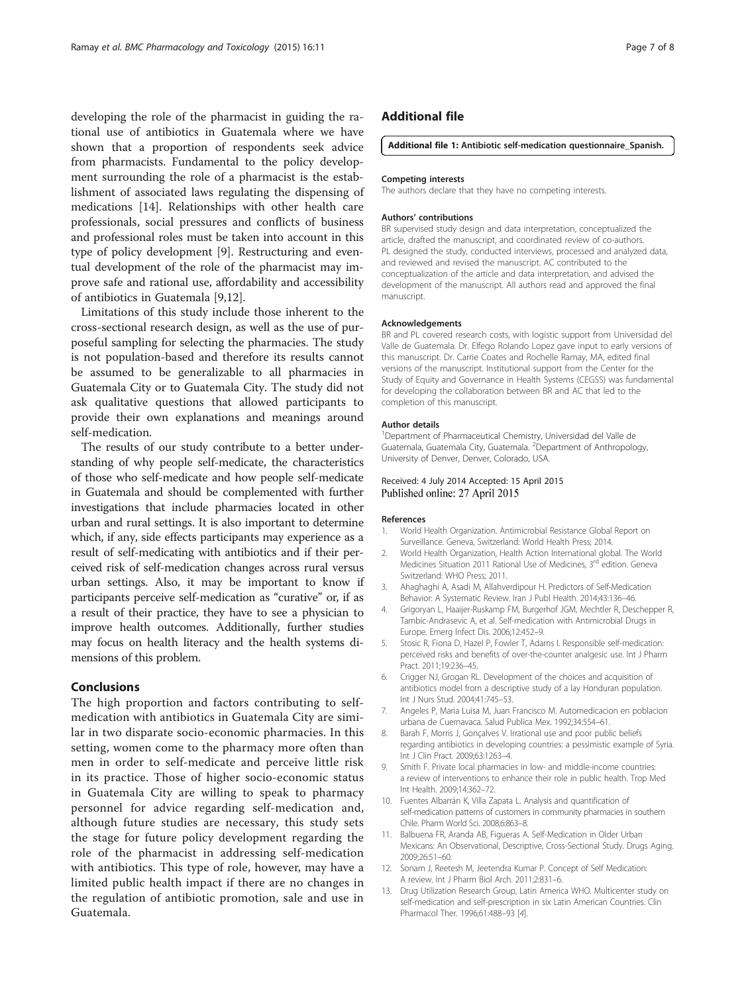<span id="page-6-0"></span>developing the role of the pharmacist in guiding the rational use of antibiotics in Guatemala where we have shown that a proportion of respondents seek advice from pharmacists. Fundamental to the policy development surrounding the role of a pharmacist is the establishment of associated laws regulating the dispensing of medications [\[14\]](#page-7-0). Relationships with other health care professionals, social pressures and conflicts of business and professional roles must be taken into account in this type of policy development [9]. Restructuring and eventual development of the role of the pharmacist may improve safe and rational use, affordability and accessibility of antibiotics in Guatemala [9,12].

Limitations of this study include those inherent to the cross-sectional research design, as well as the use of purposeful sampling for selecting the pharmacies. The study is not population-based and therefore its results cannot be assumed to be generalizable to all pharmacies in Guatemala City or to Guatemala City. The study did not ask qualitative questions that allowed participants to provide their own explanations and meanings around self-medication.

The results of our study contribute to a better understanding of why people self-medicate, the characteristics of those who self-medicate and how people self-medicate in Guatemala and should be complemented with further investigations that include pharmacies located in other urban and rural settings. It is also important to determine which, if any, side effects participants may experience as a result of self-medicating with antibiotics and if their perceived risk of self-medication changes across rural versus urban settings. Also, it may be important to know if participants perceive self-medication as "curative" or, if as a result of their practice, they have to see a physician to improve health outcomes. Additionally, further studies may focus on health literacy and the health systems dimensions of this problem.

# Conclusions

The high proportion and factors contributing to selfmedication with antibiotics in Guatemala City are similar in two disparate socio-economic pharmacies. In this setting, women come to the pharmacy more often than men in order to self-medicate and perceive little risk in its practice. Those of higher socio-economic status in Guatemala City are willing to speak to pharmacy personnel for advice regarding self-medication and, although future studies are necessary, this study sets the stage for future policy development regarding the role of the pharmacist in addressing self-medication with antibiotics. This type of role, however, may have a limited public health impact if there are no changes in the regulation of antibiotic promotion, sale and use in Guatemala.

# Additional file

## [Additional file 1:](http://www.biomedcentral.com/content/supplementary/s40360-015-0011-3-s1.docx) Antibiotic self-medication questionnaire\_Spanish.

#### Competing interests

The authors declare that they have no competing interests.

#### Authors' contributions

BR supervised study design and data interpretation, conceptualized the article, drafted the manuscript, and coordinated review of co-authors. PL designed the study, conducted interviews, processed and analyzed data, and reviewed and revised the manuscript. AC contributed to the conceptualization of the article and data interpretation, and advised the development of the manuscript. All authors read and approved the final manuscript.

#### Acknowledgements

BR and PL covered research costs, with logistic support from Universidad del Valle de Guatemala. Dr. Elfego Rolando Lopez gave input to early versions of this manuscript. Dr. Carrie Coates and Rochelle Ramay, MA, edited final versions of the manuscript. Institutional support from the Center for the Study of Equity and Governance in Health Systems (CEGSS) was fundamental for developing the collaboration between BR and AC that led to the completion of this manuscript.

#### Author details

1 Department of Pharmaceutical Chemistry, Universidad del Valle de Guatemala, Guatemala City, Guatemala. <sup>2</sup>Department of Anthropology, University of Denver, Denver, Colorado, USA.

# Received: 4 July 2014 Accepted: 15 April 2015 Published online: 27 April 2015

#### References

- 1. World Health Organization. Antimicrobial Resistance Global Report on Surveillance. Geneva, Switzerland: World Health Press; 2014.
- 2. World Health Organization, Health Action International global. The World Medicines Situation 2011 Rational Use of Medicines, 3rd edition. Geneva Switzerland: WHO Press; 2011.
- 3. Ahaghaghi A, Asadi M, Allahverdipour H. Predictors of Self-Medication Behavior: A Systematic Review. Iran J Publ Health. 2014;43:136–46.
- 4. Grigoryan L, Haaijer-Ruskamp FM, Burgerhof JGM, Mechtler R, Deschepper R, Tambic-Andrasevic A, et al. Self-medication with Antimicrobial Drugs in Europe. Emerg Infect Dis. 2006;12:452–9.
- 5. Stosic R, Fiona D, Hazel P, Fowler T, Adams I. Responsible self-medication: perceived risks and benefits of over-the-counter analgesic use. Int J Pharm Pract. 2011;19:236–45.
- 6. Crigger NJ, Grogan RL. Development of the choices and acquisition of antibiotics model from a descriptive study of a lay Honduran population. Int J Nurs Stud. 2004;41:745–53.
- 7. Angeles P, Maria Luisa M, Juan Francisco M. Automedicacion en poblacion urbana de Cuernavaca. Salud Publica Mex. 1992;34:554–61.
- 8. Barah F, Morris J, Gonçalves V. Irrational use and poor public beliefs regarding antibiotics in developing countries: a pessimistic example of Syria. Int J Clin Pract. 2009;63:1263–4.
- 9. Smith F. Private local pharmacies in low- and middle-income countries: a review of interventions to enhance their role in public health. Trop Med Int Health. 2009;14:362–72.
- 10. Fuentes Albarrán K, Villa Zapata L. Analysis and quantification of self-medication patterns of customers in community pharmacies in southern Chile. Pharm World Sci. 2008;6:863–8.
- 11. Balbuena FR, Aranda AB, Figueras A. Self-Medication in Older Urban Mexicans: An Observational, Descriptive, Cross-Sectional Study. Drugs Aging. 2009;26:51–60.
- 12. Sonam J, Reetesh M, Jeetendra Kumar P. Concept of Self Medication: A review. Int J Pharm Biol Arch. 2011;2:831–6.
- 13. Drug Utilization Research Group, Latin America WHO. Multicenter study on self-medication and self-prescription in six Latin American Countries. Clin Pharmacol Ther. 1996;61:488–93 [4].